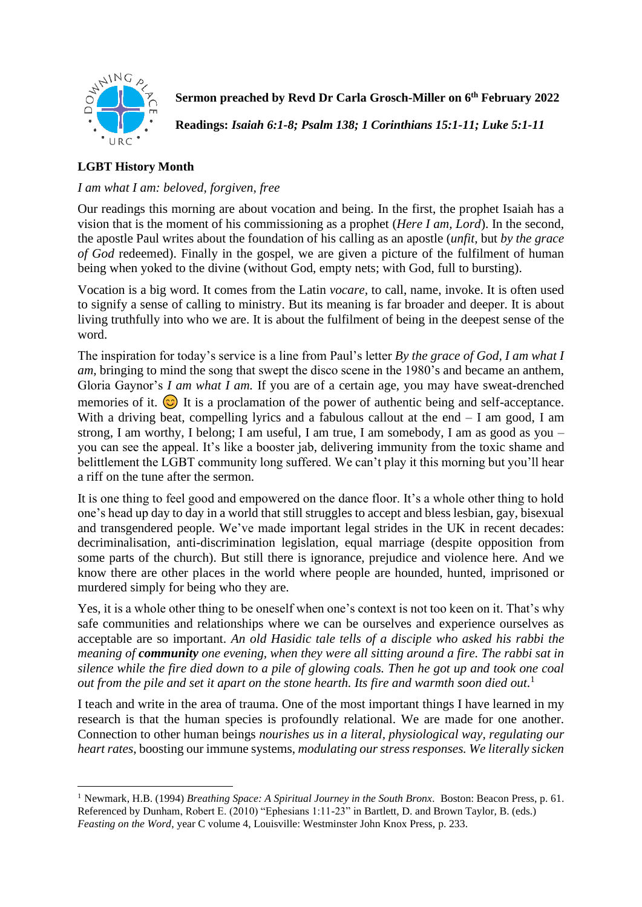

**Sermon preached by Revd Dr Carla Grosch-Miller on 6 th February 2022**

**Readings:** *Isaiah 6:1-8; Psalm 138; 1 Corinthians 15:1-11; Luke 5:1-11*

## **LGBT History Month**

## *I am what I am: beloved, forgiven, free*

Our readings this morning are about vocation and being. In the first, the prophet Isaiah has a vision that is the moment of his commissioning as a prophet (*Here I am, Lord*). In the second, the apostle Paul writes about the foundation of his calling as an apostle (*unfit,* but *by the grace of God* redeemed). Finally in the gospel, we are given a picture of the fulfilment of human being when yoked to the divine (without God, empty nets; with God, full to bursting).

Vocation is a big word. It comes from the Latin *vocare,* to call, name, invoke. It is often used to signify a sense of calling to ministry. But its meaning is far broader and deeper. It is about living truthfully into who we are. It is about the fulfilment of being in the deepest sense of the word.

The inspiration for today's service is a line from Paul's letter *By the grace of God, I am what I am*, bringing to mind the song that swept the disco scene in the 1980's and became an anthem, Gloria Gaynor's *I am what I am.* If you are of a certain age, you may have sweat-drenched memories of it.  $\odot$  It is a proclamation of the power of authentic being and self-acceptance. With a driving beat, compelling lyrics and a fabulous callout at the end  $- I$  am good, I am strong, I am worthy, I belong; I am useful, I am true, I am somebody, I am as good as you – you can see the appeal. It's like a booster jab, delivering immunity from the toxic shame and belittlement the LGBT community long suffered. We can't play it this morning but you'll hear a riff on the tune after the sermon.

It is one thing to feel good and empowered on the dance floor. It's a whole other thing to hold one's head up day to day in a world that still struggles to accept and bless lesbian, gay, bisexual and transgendered people. We've made important legal strides in the UK in recent decades: decriminalisation, anti-discrimination legislation, equal marriage (despite opposition from some parts of the church). But still there is ignorance, prejudice and violence here. And we know there are other places in the world where people are hounded, hunted, imprisoned or murdered simply for being who they are.

Yes, it is a whole other thing to be oneself when one's context is not too keen on it. That's why safe communities and relationships where we can be ourselves and experience ourselves as acceptable are so important. *An old Hasidic tale tells of a disciple who asked his rabbi the meaning of community one evening, when they were all sitting around a fire. The rabbi sat in silence while the fire died down to a pile of glowing coals. Then he got up and took one coal out from the pile and set it apart on the stone hearth. Its fire and warmth soon died out.* 1

I teach and write in the area of trauma. One of the most important things I have learned in my research is that the human species is profoundly relational. We are made for one another. Connection to other human beings *nourishes us in a literal, physiological way, regulating our heart rates*, boosting our immune systems, *modulating our stress responses. We literally sicken* 

<sup>1</sup> Newmark, H.B. (1994) *Breathing Space: A Spiritual Journey in the South Bronx.* Boston: Beacon Press, p. 61. Referenced by Dunham, Robert E. (2010) "Ephesians 1:11-23" in Bartlett, D. and Brown Taylor, B. (eds.) *Feasting on the Word*, year C volume 4, Louisville: Westminster John Knox Press, p. 233.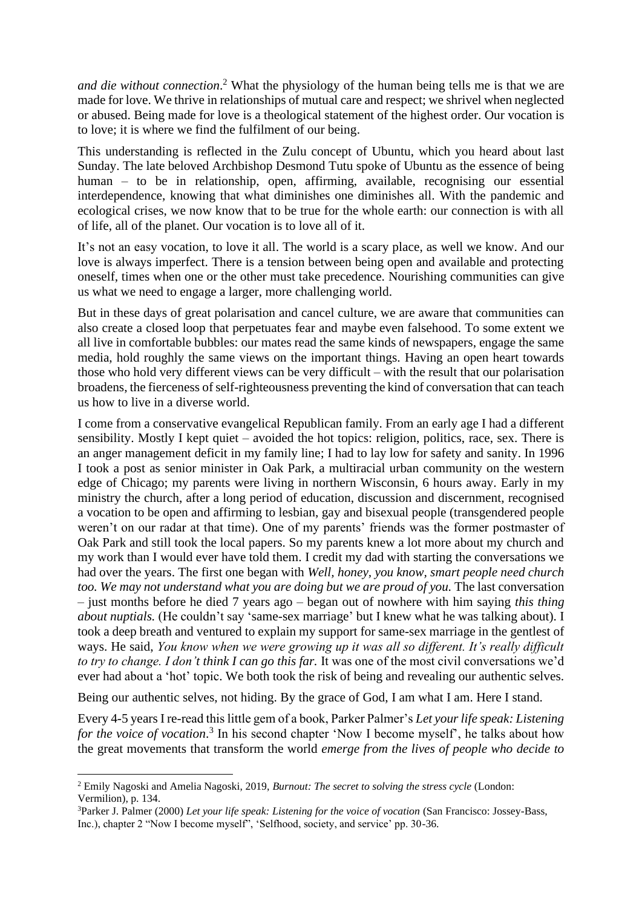*and die without connection*. <sup>2</sup> What the physiology of the human being tells me is that we are made for love. We thrive in relationships of mutual care and respect; we shrivel when neglected or abused. Being made for love is a theological statement of the highest order. Our vocation is to love; it is where we find the fulfilment of our being.

This understanding is reflected in the Zulu concept of Ubuntu, which you heard about last Sunday. The late beloved Archbishop Desmond Tutu spoke of Ubuntu as the essence of being human – to be in relationship, open, affirming, available, recognising our essential interdependence, knowing that what diminishes one diminishes all. With the pandemic and ecological crises, we now know that to be true for the whole earth: our connection is with all of life, all of the planet. Our vocation is to love all of it.

It's not an easy vocation, to love it all. The world is a scary place, as well we know. And our love is always imperfect. There is a tension between being open and available and protecting oneself, times when one or the other must take precedence. Nourishing communities can give us what we need to engage a larger, more challenging world.

But in these days of great polarisation and cancel culture, we are aware that communities can also create a closed loop that perpetuates fear and maybe even falsehood. To some extent we all live in comfortable bubbles: our mates read the same kinds of newspapers, engage the same media, hold roughly the same views on the important things. Having an open heart towards those who hold very different views can be very difficult – with the result that our polarisation broadens, the fierceness of self-righteousness preventing the kind of conversation that can teach us how to live in a diverse world.

I come from a conservative evangelical Republican family. From an early age I had a different sensibility. Mostly I kept quiet – avoided the hot topics: religion, politics, race, sex. There is an anger management deficit in my family line; I had to lay low for safety and sanity. In 1996 I took a post as senior minister in Oak Park, a multiracial urban community on the western edge of Chicago; my parents were living in northern Wisconsin, 6 hours away. Early in my ministry the church, after a long period of education, discussion and discernment, recognised a vocation to be open and affirming to lesbian, gay and bisexual people (transgendered people weren't on our radar at that time). One of my parents' friends was the former postmaster of Oak Park and still took the local papers. So my parents knew a lot more about my church and my work than I would ever have told them. I credit my dad with starting the conversations we had over the years. The first one began with *Well, honey, you know, smart people need church*  too. We may not understand what you are doing but we are proud of you. The last conversation – just months before he died 7 years ago – began out of nowhere with him saying *this thing about nuptials.* (He couldn't say 'same-sex marriage' but I knew what he was talking about). I took a deep breath and ventured to explain my support for same-sex marriage in the gentlest of ways. He said, *You know when we were growing up it was all so different. It's really difficult to try to change. I don't think I can go this far.* It was one of the most civil conversations we'd ever had about a 'hot' topic. We both took the risk of being and revealing our authentic selves.

Being our authentic selves, not hiding. By the grace of God, I am what I am. Here I stand.

Every 4-5 years I re-read this little gem of a book, Parker Palmer's *Let your life speak: Listening*  for the voice of vocation.<sup>3</sup> In his second chapter 'Now I become myself', he talks about how the great movements that transform the world *emerge from the lives of people who decide to* 

<sup>2</sup> Emily Nagoski and Amelia Nagoski, 2019, *Burnout: The secret to solving the stress cycle* (London: Vermilion), p. 134.

<sup>3</sup>Parker J. Palmer (2000) *Let your life speak: Listening for the voice of vocation* (San Francisco: Jossey-Bass, Inc.), chapter 2 "Now I become myself", 'Selfhood, society, and service' pp. 30-36.